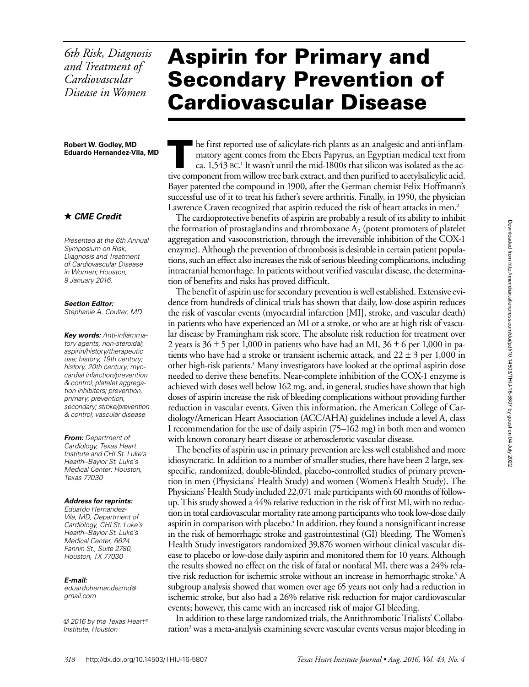*6th Risk, Diagnosis and Treatment of Cardiovascular Disease in Women*

**Robert W. Godley, MD Eduardo Hernandez-Vila, MD**

### *CME Credit*

*Presented at the 6th Annual Symposium on Risk, Diagnosis and Treatment of Cardiovascular Disease in Women; Houston, 9 January 2016.*

*Section Editor:*

*Stephanie A. Coulter, MD*

*Key words: Anti-inflammatory agents, non-steroidal; aspirin/history/therapeutic use; history, 19th century; history, 20th century; myocardial infarction/prevention & control; platelet aggregation inhibitors; prevention, primary; prevention, secondary; stroke/prevention & control; vascular disease*

*From: Department of Cardiology, Texas Heart Institute and CHI St. Luke's Health–Baylor St. Luke's Medical Center; Houston, Texas 77030*

#### *Address for reprints:*

*Eduardo Hernandez-Vila, MD, Department of Cardiology, CHI St. Luke's Health–Baylor St. Luke's Medical Center, 6624 Fannin St., Suite 2780, Houston, TX 77030*

#### *E-mail:*

*eduardohernandezmd@ gmail.com*

*© 2016 by the Texas Heart ® Institute, Houston*

# Aspirin for Primary and Secondary Prevention of Cardiovascular Disease

he first reported use of salicylate-rich plants as an analgesic and anti-inflammatory agent comes from the Ebers Papyrus, an Egyptian medical text from ca. 1,543 BC.<sup>1</sup> It wasn't until the mid-1800s that silicon was isolated as the active component from willow tree bark extract, and then purified to acetylsalicylic acid. Bayer patented the compound in 1900, after the German chemist Felix Hoffmann's successful use of it to treat his father's severe arthritis. Finally, in 1950, the physician Lawrence Craven recognized that aspirin reduced the risk of heart attacks in men.<sup>2</sup>

The cardioprotective benefits of aspirin are probably a result of its ability to inhibit the formation of prostaglandins and thromboxane  $A_2$  (potent promoters of platelet aggregation and vasoconstriction, through the irreversible inhibition of the COX-1 enzyme). Although the prevention of thrombosis is desirable in certain patient populations, such an effect also increases the risk of serious bleeding complications, including intracranial hemorrhage. In patients without verified vascular disease, the determination of benefits and risks has proved difficult.

The benefit of aspirin use for secondary prevention is well established. Extensive evidence from hundreds of clinical trials has shown that daily, low-dose aspirin reduces the risk of vascular events (myocardial infarction [MI], stroke, and vascular death) in patients who have experienced an MI or a stroke, or who are at high risk of vascular disease by Framingham risk score. The absolute risk reduction for treatment over 2 years is  $36 \pm 5$  per 1,000 in patients who have had an MI,  $36 \pm 6$  per 1,000 in patients who have had a stroke or transient ischemic attack, and  $22 \pm 3$  per 1,000 in other high-risk patients.<sup>3</sup> Many investigators have looked at the optimal aspirin dose needed to derive these benefits. Near-complete inhibition of the COX-1 enzyme is achieved with doses well below 162 mg, and, in general, studies have shown that high doses of aspirin increase the risk of bleeding complications without providing further reduction in vascular events. Given this information, the American College of Cardiology/American Heart Association (ACC/AHA) guidelines include a level A, class I recommendation for the use of daily aspirin (75–162 mg) in both men and women with known coronary heart disease or atherosclerotic vascular disease.

The benefits of aspirin use in primary prevention are less well established and more idiosyncratic. In addition to a number of smaller studies, there have been 2 large, sexspecific, randomized, double-blinded, placebo-controlled studies of primary prevention in men (Physicians' Health Study) and women (Women's Health Study). The Physicians' Health Study included 22,071 male participants with 60 months of followup. This study showed a 44% relative reduction in the risk of first MI, with no reduction in total cardiovascular mortality rate among participants who took low-dose daily aspirin in comparison with placebo.<sup>4</sup> In addition, they found a nonsignificant increase in the risk of hemorrhagic stroke and gastrointestinal (GI) bleeding. The Women's Health Study investigators randomized 39,876 women without clinical vascular disease to placebo or low-dose daily aspirin and monitored them for 10 years. Although the results showed no effect on the risk of fatal or nonfatal MI, there was a 24% relative risk reduction for ischemic stroke without an increase in hemorrhagic stroke.<sup>5</sup> A subgroup analysis showed that women over age 65 years not only had a reduction in ischemic stroke, but also had a 26% relative risk reduction for major cardiovascular events; however, this came with an increased risk of major GI bleeding.

In addition to these large randomized trials, the Antithrombotic Trialists' Collaboration<sup>3</sup> was a meta-analysis examining severe vascular events versus major bleeding in